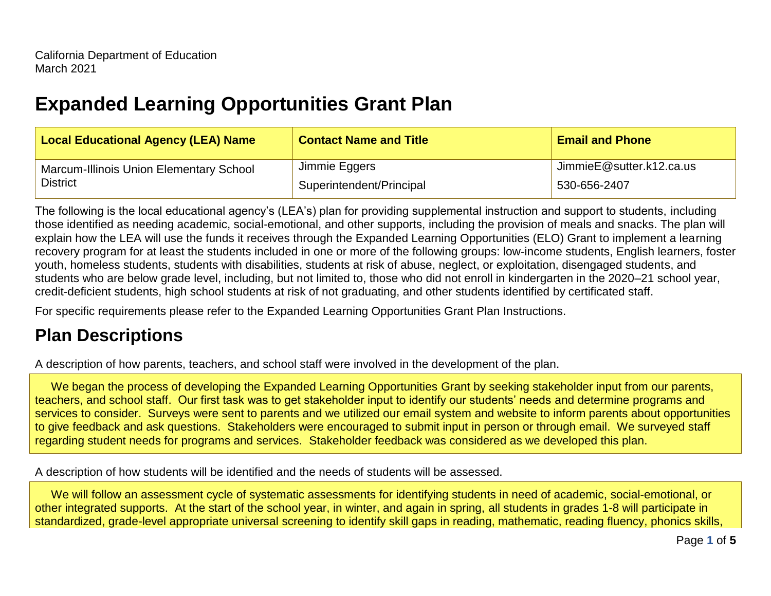# **Expanded Learning Opportunities Grant Plan**

| <b>Local Educational Agency (LEA) Name</b>                        | <b>Contact Name and Title</b> | <b>Email and Phone</b>   |
|-------------------------------------------------------------------|-------------------------------|--------------------------|
| <b>Marcum-Illinois Union Elementary School</b><br><b>District</b> | Jimmie Eggers                 | JimmieE@sutter.k12.ca.us |
|                                                                   | Superintendent/Principal      | 530-656-2407             |

The following is the local educational agency's (LEA's) plan for providing supplemental instruction and support to students, including those identified as needing academic, social-emotional, and other supports, including the provision of meals and snacks. The plan will explain how the LEA will use the funds it receives through the Expanded Learning Opportunities (ELO) Grant to implement a learning recovery program for at least the students included in one or more of the following groups: low-income students, English learners, foster youth, homeless students, students with disabilities, students at risk of abuse, neglect, or exploitation, disengaged students, and students who are below grade level, including, but not limited to, those who did not enroll in kindergarten in the 2020–21 school year, credit-deficient students, high school students at risk of not graduating, and other students identified by certificated staff.

For specific requirements please refer to the Expanded Learning Opportunities Grant Plan Instructions.

# **Plan Descriptions**

A description of how parents, teachers, and school staff were involved in the development of the plan.

We began the process of developing the Expanded Learning Opportunities Grant by seeking stakeholder input from our parents, teachers, and school staff. Our first task was to get stakeholder input to identify our students' needs and determine programs and services to consider. Surveys were sent to parents and we utilized our email system and website to inform parents about opportunities to give feedback and ask questions. Stakeholders were encouraged to submit input in person or through email. We surveyed staff regarding student needs for programs and services. Stakeholder feedback was considered as we developed this plan.

A description of how students will be identified and the needs of students will be assessed.

 We will follow an assessment cycle of systematic assessments for identifying students in need of academic, social-emotional, or other integrated supports. At the start of the school year, in winter, and again in spring, all students in grades 1-8 will participate in standardized, grade-level appropriate universal screening to identify skill gaps in reading, mathematic, reading fluency, phonics skills,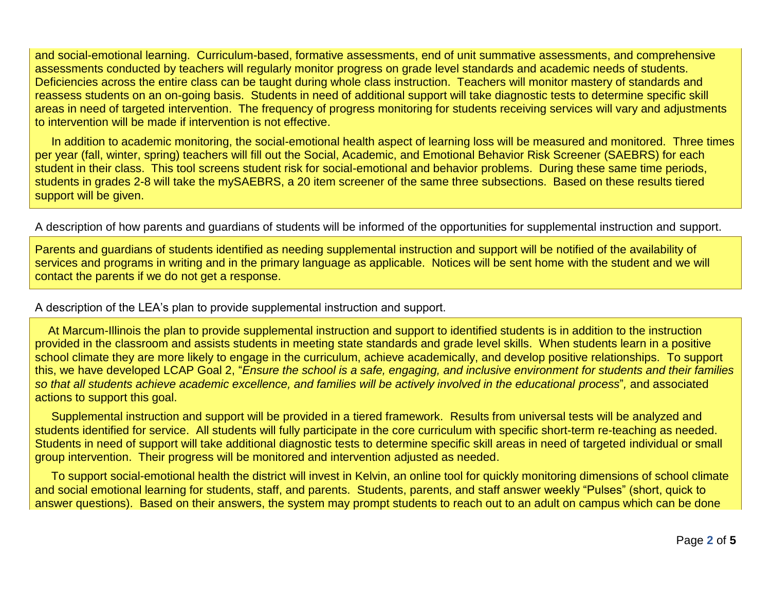and social-emotional learning. Curriculum-based, formative assessments, end of unit summative assessments, and comprehensive assessments conducted by teachers will regularly monitor progress on grade level standards and academic needs of students. Deficiencies across the entire class can be taught during whole class instruction. Teachers will monitor mastery of standards and reassess students on an on-going basis. Students in need of additional support will take diagnostic tests to determine specific skill areas in need of targeted intervention. The frequency of progress monitoring for students receiving services will vary and adjustments to intervention will be made if intervention is not effective.

 In addition to academic monitoring, the social-emotional health aspect of learning loss will be measured and monitored. Three times per year (fall, winter, spring) teachers will fill out the Social, Academic, and Emotional Behavior Risk Screener (SAEBRS) for each student in their class. This tool screens student risk for social-emotional and behavior problems. During these same time periods, students in grades 2-8 will take the mySAEBRS, a 20 item screener of the same three subsections. Based on these results tiered support will be given.

A description of how parents and guardians of students will be informed of the opportunities for supplemental instruction and support.

Parents and guardians of students identified as needing supplemental instruction and support will be notified of the availability of services and programs in writing and in the primary language as applicable. Notices will be sent home with the student and we will contact the parents if we do not get a response.

A description of the LEA's plan to provide supplemental instruction and support.

 At Marcum-Illinois the plan to provide supplemental instruction and support to identified students is in addition to the instruction provided in the classroom and assists students in meeting state standards and grade level skills. When students learn in a positive school climate they are more likely to engage in the curriculum, achieve academically, and develop positive relationships. To support this, we have developed LCAP Goal 2, "*Ensure the school is a safe, engaging, and inclusive environment for students and their families so that all students achieve academic excellence, and families will be actively involved in the educational process*"*,* and associated actions to support this goal.

 Supplemental instruction and support will be provided in a tiered framework. Results from universal tests will be analyzed and students identified for service. All students will fully participate in the core curriculum with specific short-term re-teaching as needed. Students in need of support will take additional diagnostic tests to determine specific skill areas in need of targeted individual or small group intervention. Their progress will be monitored and intervention adjusted as needed.

 To support social-emotional health the district will invest in Kelvin, an online tool for quickly monitoring dimensions of school climate and social emotional learning for students, staff, and parents. Students, parents, and staff answer weekly "Pulses" (short, quick to answer questions). Based on their answers, the system may prompt students to reach out to an adult on campus which can be done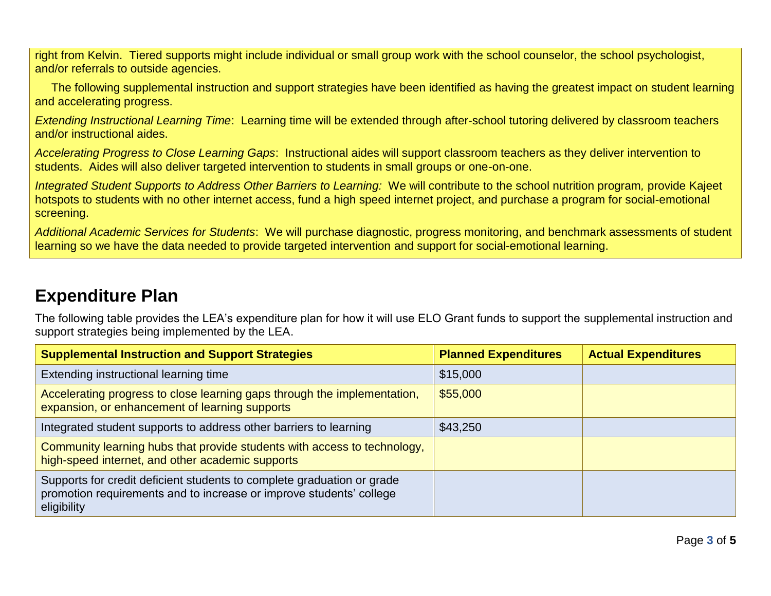right from Kelvin. Tiered supports might include individual or small group work with the school counselor, the school psychologist, and/or referrals to outside agencies.

 The following supplemental instruction and support strategies have been identified as having the greatest impact on student learning and accelerating progress.

*Extending Instructional Learning Time*: Learning time will be extended through after-school tutoring delivered by classroom teachers and/or instructional aides.

*Accelerating Progress to Close Learning Gaps*: Instructional aides will support classroom teachers as they deliver intervention to students. Aides will also deliver targeted intervention to students in small groups or one-on-one.

*Integrated Student Supports to Address Other Barriers to Learning:* We will contribute to the school nutrition program*,* provide Kajeet hotspots to students with no other internet access, fund a high speed internet project, and purchase a program for social-emotional screening.

*Additional Academic Services for Students*: We will purchase diagnostic, progress monitoring, and benchmark assessments of student learning so we have the data needed to provide targeted intervention and support for social-emotional learning.

## **Expenditure Plan**

The following table provides the LEA's expenditure plan for how it will use ELO Grant funds to support the supplemental instruction and support strategies being implemented by the LEA.

| <b>Supplemental Instruction and Support Strategies</b>                                                                                                       | <b>Planned Expenditures</b> | <b>Actual Expenditures</b> |
|--------------------------------------------------------------------------------------------------------------------------------------------------------------|-----------------------------|----------------------------|
| Extending instructional learning time                                                                                                                        | \$15,000                    |                            |
| Accelerating progress to close learning gaps through the implementation,<br>expansion, or enhancement of learning supports                                   | \$55,000                    |                            |
| Integrated student supports to address other barriers to learning                                                                                            | \$43,250                    |                            |
| Community learning hubs that provide students with access to technology,<br>high-speed internet, and other academic supports                                 |                             |                            |
| Supports for credit deficient students to complete graduation or grade<br>promotion requirements and to increase or improve students' college<br>eligibility |                             |                            |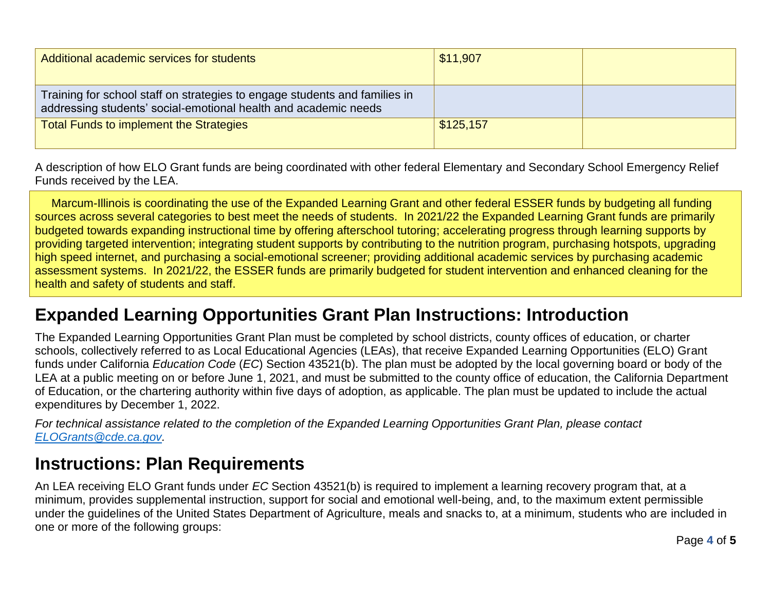| Additional academic services for students                                                                                                     | \$11,907  |  |
|-----------------------------------------------------------------------------------------------------------------------------------------------|-----------|--|
| Training for school staff on strategies to engage students and families in<br>addressing students' social-emotional health and academic needs |           |  |
| <b>Total Funds to implement the Strategies</b>                                                                                                | \$125,157 |  |

A description of how ELO Grant funds are being coordinated with other federal Elementary and Secondary School Emergency Relief Funds received by the LEA.

 Marcum-Illinois is coordinating the use of the Expanded Learning Grant and other federal ESSER funds by budgeting all funding sources across several categories to best meet the needs of students. In 2021/22 the Expanded Learning Grant funds are primarily budgeted towards expanding instructional time by offering afterschool tutoring; accelerating progress through learning supports by providing targeted intervention; integrating student supports by contributing to the nutrition program, purchasing hotspots, upgrading high speed internet, and purchasing a social-emotional screener; providing additional academic services by purchasing academic assessment systems. In 2021/22, the ESSER funds are primarily budgeted for student intervention and enhanced cleaning for the health and safety of students and staff.

## **Expanded Learning Opportunities Grant Plan Instructions: Introduction**

The Expanded Learning Opportunities Grant Plan must be completed by school districts, county offices of education, or charter schools, collectively referred to as Local Educational Agencies (LEAs), that receive Expanded Learning Opportunities (ELO) Grant funds under California *Education Code* (*EC*) Section 43521(b). The plan must be adopted by the local governing board or body of the LEA at a public meeting on or before June 1, 2021, and must be submitted to the county office of education, the California Department of Education, or the chartering authority within five days of adoption, as applicable. The plan must be updated to include the actual expenditures by December 1, 2022.

*For technical assistance related to the completion of the Expanded Learning Opportunities Grant Plan, please contact [ELOGrants@cde.ca.gov.](mailto:ELOGrants@cde.ca.gov)*

### **Instructions: Plan Requirements**

An LEA receiving ELO Grant funds under *EC* Section 43521(b) is required to implement a learning recovery program that, at a minimum, provides supplemental instruction, support for social and emotional well-being, and, to the maximum extent permissible under the guidelines of the United States Department of Agriculture, meals and snacks to, at a minimum, students who are included in one or more of the following groups: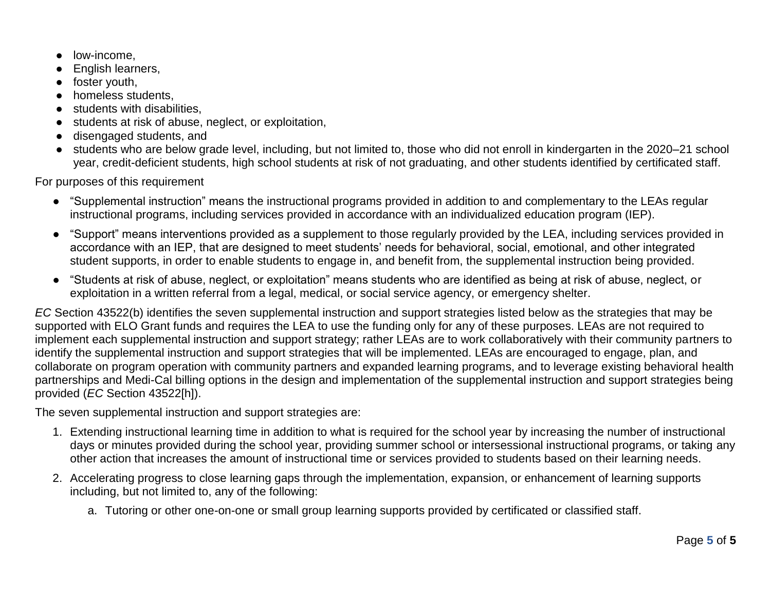- low-income.
- English learners,
- foster youth,
- homeless students,
- students with disabilities,
- students at risk of abuse, neglect, or exploitation,
- disengaged students, and
- students who are below grade level, including, but not limited to, those who did not enroll in kindergarten in the 2020–21 school year, credit-deficient students, high school students at risk of not graduating, and other students identified by certificated staff.

For purposes of this requirement

- "Supplemental instruction" means the instructional programs provided in addition to and complementary to the LEAs regular instructional programs, including services provided in accordance with an individualized education program (IEP).
- "Support" means interventions provided as a supplement to those regularly provided by the LEA, including services provided in accordance with an IEP, that are designed to meet students' needs for behavioral, social, emotional, and other integrated student supports, in order to enable students to engage in, and benefit from, the supplemental instruction being provided.
- "Students at risk of abuse, neglect, or exploitation" means students who are identified as being at risk of abuse, neglect, or exploitation in a written referral from a legal, medical, or social service agency, or emergency shelter.

*EC* Section 43522(b) identifies the seven supplemental instruction and support strategies listed below as the strategies that may be supported with ELO Grant funds and requires the LEA to use the funding only for any of these purposes. LEAs are not required to implement each supplemental instruction and support strategy; rather LEAs are to work collaboratively with their community partners to identify the supplemental instruction and support strategies that will be implemented. LEAs are encouraged to engage, plan, and collaborate on program operation with community partners and expanded learning programs, and to leverage existing behavioral health partnerships and Medi-Cal billing options in the design and implementation of the supplemental instruction and support strategies being provided (*EC* Section 43522[h]).

The seven supplemental instruction and support strategies are:

- 1. Extending instructional learning time in addition to what is required for the school year by increasing the number of instructional days or minutes provided during the school year, providing summer school or intersessional instructional programs, or taking any other action that increases the amount of instructional time or services provided to students based on their learning needs.
- 2. Accelerating progress to close learning gaps through the implementation, expansion, or enhancement of learning supports including, but not limited to, any of the following:
	- a. Tutoring or other one-on-one or small group learning supports provided by certificated or classified staff.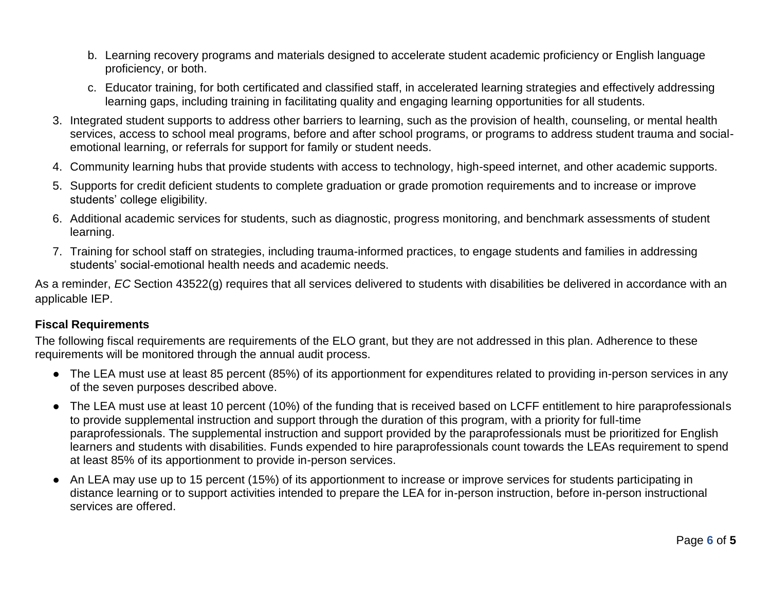- b. Learning recovery programs and materials designed to accelerate student academic proficiency or English language proficiency, or both.
- c. Educator training, for both certificated and classified staff, in accelerated learning strategies and effectively addressing learning gaps, including training in facilitating quality and engaging learning opportunities for all students.
- 3. Integrated student supports to address other barriers to learning, such as the provision of health, counseling, or mental health services, access to school meal programs, before and after school programs, or programs to address student trauma and socialemotional learning, or referrals for support for family or student needs.
- 4. Community learning hubs that provide students with access to technology, high-speed internet, and other academic supports.
- 5. Supports for credit deficient students to complete graduation or grade promotion requirements and to increase or improve students' college eligibility.
- 6. Additional academic services for students, such as diagnostic, progress monitoring, and benchmark assessments of student learning.
- 7. Training for school staff on strategies, including trauma-informed practices, to engage students and families in addressing students' social-emotional health needs and academic needs.

As a reminder, *EC* Section 43522(g) requires that all services delivered to students with disabilities be delivered in accordance with an applicable IEP.

### **Fiscal Requirements**

The following fiscal requirements are requirements of the ELO grant, but they are not addressed in this plan. Adherence to these requirements will be monitored through the annual audit process.

- The LEA must use at least 85 percent (85%) of its apportionment for expenditures related to providing in-person services in any of the seven purposes described above.
- The LEA must use at least 10 percent (10%) of the funding that is received based on LCFF entitlement to hire paraprofessionals to provide supplemental instruction and support through the duration of this program, with a priority for full-time paraprofessionals. The supplemental instruction and support provided by the paraprofessionals must be prioritized for English learners and students with disabilities. Funds expended to hire paraprofessionals count towards the LEAs requirement to spend at least 85% of its apportionment to provide in-person services.
- An LEA may use up to 15 percent (15%) of its apportionment to increase or improve services for students participating in distance learning or to support activities intended to prepare the LEA for in-person instruction, before in-person instructional services are offered.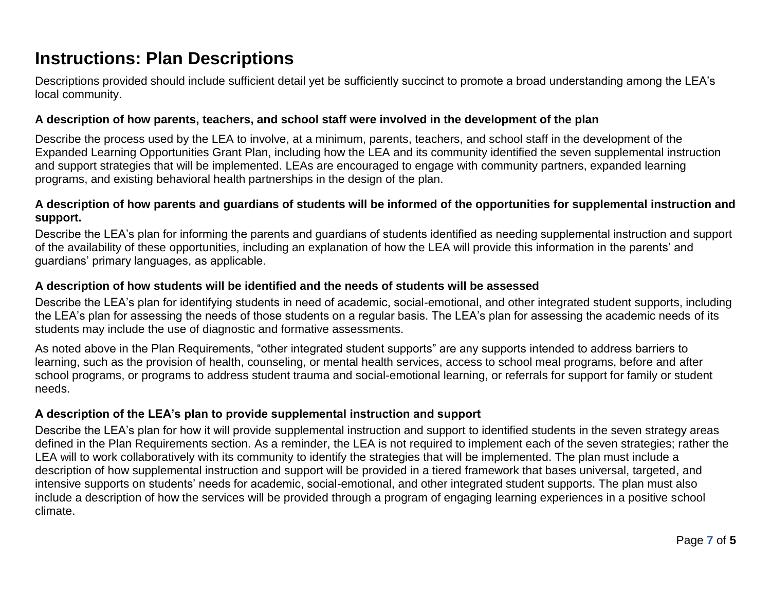## **Instructions: Plan Descriptions**

Descriptions provided should include sufficient detail yet be sufficiently succinct to promote a broad understanding among the LEA's local community.

#### **A description of how parents, teachers, and school staff were involved in the development of the plan**

Describe the process used by the LEA to involve, at a minimum, parents, teachers, and school staff in the development of the Expanded Learning Opportunities Grant Plan, including how the LEA and its community identified the seven supplemental instruction and support strategies that will be implemented. LEAs are encouraged to engage with community partners, expanded learning programs, and existing behavioral health partnerships in the design of the plan.

#### **A description of how parents and guardians of students will be informed of the opportunities for supplemental instruction and support.**

Describe the LEA's plan for informing the parents and guardians of students identified as needing supplemental instruction and support of the availability of these opportunities, including an explanation of how the LEA will provide this information in the parents' and guardians' primary languages, as applicable.

#### **A description of how students will be identified and the needs of students will be assessed**

Describe the LEA's plan for identifying students in need of academic, social-emotional, and other integrated student supports, including the LEA's plan for assessing the needs of those students on a regular basis. The LEA's plan for assessing the academic needs of its students may include the use of diagnostic and formative assessments.

As noted above in the Plan Requirements, "other integrated student supports" are any supports intended to address barriers to learning, such as the provision of health, counseling, or mental health services, access to school meal programs, before and after school programs, or programs to address student trauma and social-emotional learning, or referrals for support for family or student needs.

### **A description of the LEA's plan to provide supplemental instruction and support**

Describe the LEA's plan for how it will provide supplemental instruction and support to identified students in the seven strategy areas defined in the Plan Requirements section. As a reminder, the LEA is not required to implement each of the seven strategies; rather the LEA will to work collaboratively with its community to identify the strategies that will be implemented. The plan must include a description of how supplemental instruction and support will be provided in a tiered framework that bases universal, targeted, and intensive supports on students' needs for academic, social-emotional, and other integrated student supports. The plan must also include a description of how the services will be provided through a program of engaging learning experiences in a positive school climate.